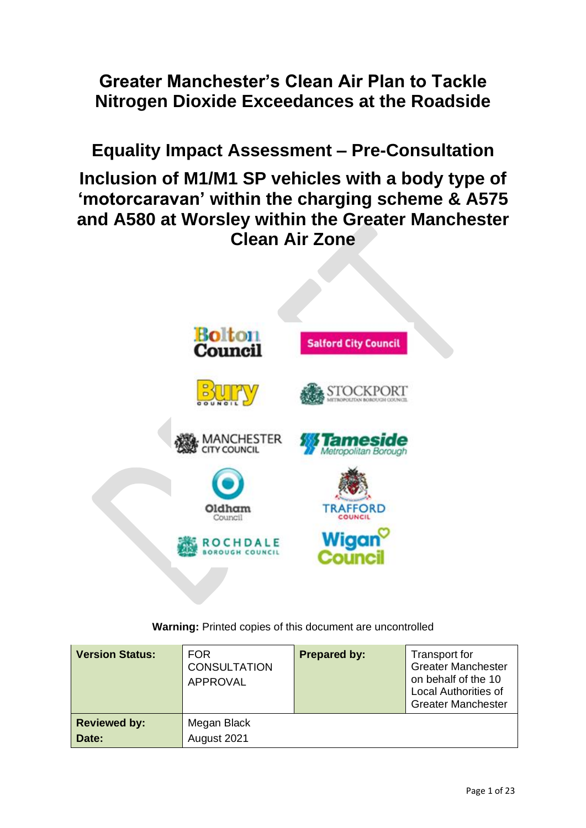**Greater Manchester's Clean Air Plan to Tackle Nitrogen Dioxide Exceedances at the Roadside** 

**Equality Impact Assessment – Pre-Consultation**

**Inclusion of M1/M1 SP vehicles with a body type of 'motorcaravan' within the charging scheme & A575 and A580 at Worsley within the Greater Manchester Clean Air Zone** 



**Warning:** Printed copies of this document are uncontrolled

| <b>Version Status:</b>       | <b>FOR</b><br><b>CONSULTATION</b><br><b>APPROVAL</b> | <b>Prepared by:</b> | Transport for<br><b>Greater Manchester</b><br>on behalf of the 10<br><b>Local Authorities of</b><br><b>Greater Manchester</b> |
|------------------------------|------------------------------------------------------|---------------------|-------------------------------------------------------------------------------------------------------------------------------|
| <b>Reviewed by:</b><br>Date: | Megan Black<br>August 2021                           |                     |                                                                                                                               |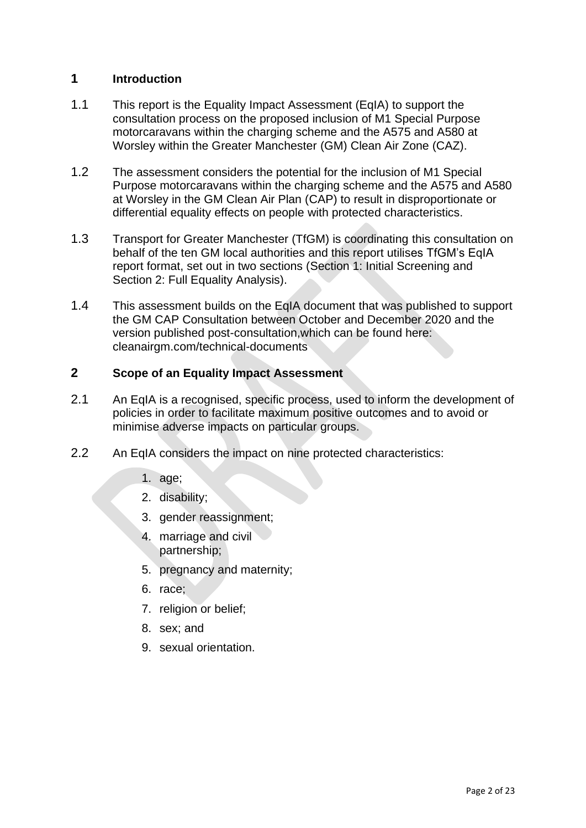# **1 Introduction**

- 1.1 This report is the Equality Impact Assessment (EqIA) to support the consultation process on the proposed inclusion of M1 Special Purpose motorcaravans within the charging scheme and the A575 and A580 at Worsley within the Greater Manchester (GM) Clean Air Zone (CAZ).
- 1.2 The assessment considers the potential for the inclusion of M1 Special Purpose motorcaravans within the charging scheme and the A575 and A580 at Worsley in the GM Clean Air Plan (CAP) to result in disproportionate or differential equality effects on people with protected characteristics.
- 1.3 Transport for Greater Manchester (TfGM) is coordinating this consultation on behalf of the ten GM local authorities and this report utilises TfGM's EqIA report format, set out in two sections (Section 1: Initial Screening and Section 2: Full Equality Analysis).
- 1.4 This assessment builds on the EqIA document that was published to support the GM CAP Consultation between October and December 2020 and the version published post-consultation,which can be found here: cleanairgm.com/technical-documents

## **2 Scope of an Equality Impact Assessment**

- 2.1 An EqIA is a recognised, specific process, used to inform the development of policies in order to facilitate maximum positive outcomes and to avoid or minimise adverse impacts on particular groups.
- 2.2 An EqIA considers the impact on nine protected characteristics:
	- 1. age;
	- 2. disability;
	- 3. gender reassignment;
	- 4. marriage and civil partnership;
	- 5. pregnancy and maternity;
	- 6. race;
	- 7. religion or belief;
	- 8. sex; and
	- 9. sexual orientation.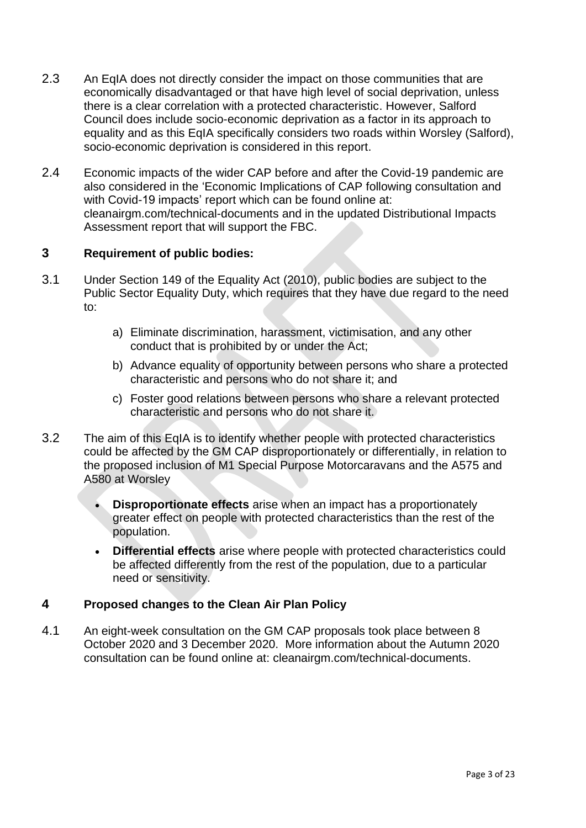- 2.3 An EqIA does not directly consider the impact on those communities that are economically disadvantaged or that have high level of social deprivation, unless there is a clear correlation with a protected characteristic. However, Salford Council does include socio-economic deprivation as a factor in its approach to equality and as this EqIA specifically considers two roads within Worsley (Salford), socio-economic deprivation is considered in this report.
- 2.4 Economic impacts of the wider CAP before and after the Covid-19 pandemic are also considered in the 'Economic Implications of CAP following consultation and with Covid-19 impacts' report which can be found online at: cleanairgm.com/technical-documents and in the updated Distributional Impacts Assessment report that will support the FBC.

# **3 Requirement of public bodies:**

- 3.1 Under Section 149 of the Equality Act (2010), public bodies are subject to the Public Sector Equality Duty, which requires that they have due regard to the need to:
	- a) Eliminate discrimination, harassment, victimisation, and any other conduct that is prohibited by or under the Act;
	- b) Advance equality of opportunity between persons who share a protected characteristic and persons who do not share it; and
	- c) Foster good relations between persons who share a relevant protected characteristic and persons who do not share it.
- 3.2 The aim of this EqIA is to identify whether people with protected characteristics could be affected by the GM CAP disproportionately or differentially, in relation to the proposed inclusion of M1 Special Purpose Motorcaravans and the A575 and A580 at Worsley
	- **Disproportionate effects** arise when an impact has a proportionately greater effect on people with protected characteristics than the rest of the population.
	- **Differential effects** arise where people with protected characteristics could be affected differently from the rest of the population, due to a particular need or sensitivity.

## **4 Proposed changes to the Clean Air Plan Policy**

4.1 An eight-week consultation on the GM CAP proposals took place between 8 October 2020 and 3 December 2020. More information about the Autumn 2020 consultation can be found online at: cleanairgm.com/technical-documents.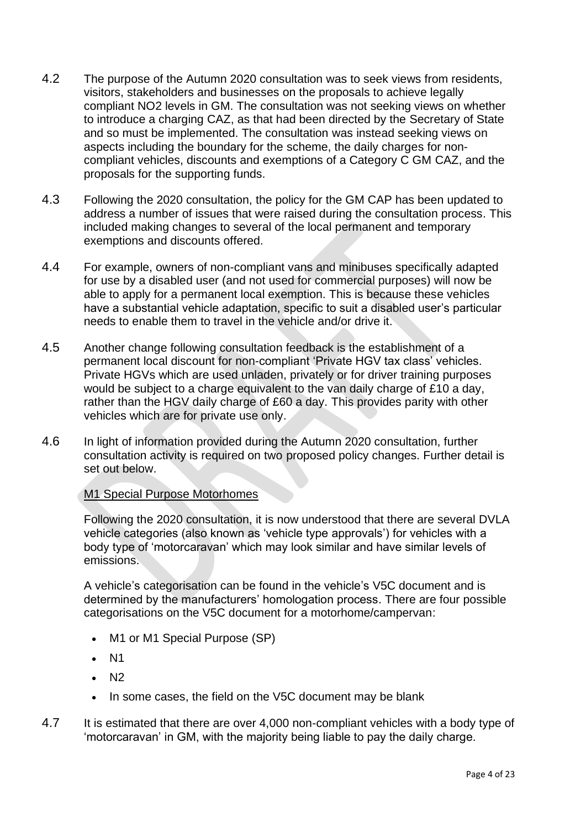- 4.2 The purpose of the Autumn 2020 consultation was to seek views from residents, visitors, stakeholders and businesses on the proposals to achieve legally compliant NO2 levels in GM. The consultation was not seeking views on whether to introduce a charging CAZ, as that had been directed by the Secretary of State and so must be implemented. The consultation was instead seeking views on aspects including the boundary for the scheme, the daily charges for noncompliant vehicles, discounts and exemptions of a Category C GM CAZ, and the proposals for the supporting funds.
- 4.3 Following the 2020 consultation, the policy for the GM CAP has been updated to address a number of issues that were raised during the consultation process. This included making changes to several of the local permanent and temporary exemptions and discounts offered.
- 4.4 For example, owners of non-compliant vans and minibuses specifically adapted for use by a disabled user (and not used for commercial purposes) will now be able to apply for a permanent local exemption. This is because these vehicles have a substantial vehicle adaptation, specific to suit a disabled user's particular needs to enable them to travel in the vehicle and/or drive it.
- 4.5 Another change following consultation feedback is the establishment of a permanent local discount for non-compliant 'Private HGV tax class' vehicles. Private HGVs which are used unladen, privately or for driver training purposes would be subject to a charge equivalent to the van daily charge of £10 a day, rather than the HGV daily charge of £60 a day. This provides parity with other vehicles which are for private use only.
- 4.6 In light of information provided during the Autumn 2020 consultation, further consultation activity is required on two proposed policy changes. Further detail is set out below.

## M1 Special Purpose Motorhomes

Following the 2020 consultation, it is now understood that there are several DVLA vehicle categories (also known as 'vehicle type approvals') for vehicles with a body type of 'motorcaravan' which may look similar and have similar levels of emissions.

A vehicle's categorisation can be found in the vehicle's V5C document and is determined by the manufacturers' homologation process. There are four possible categorisations on the V5C document for a motorhome/campervan:

- M1 or M1 Special Purpose (SP)
- N1
- N2
- In some cases, the field on the V5C document may be blank
- 4.7 It is estimated that there are over 4,000 non-compliant vehicles with a body type of 'motorcaravan' in GM, with the majority being liable to pay the daily charge.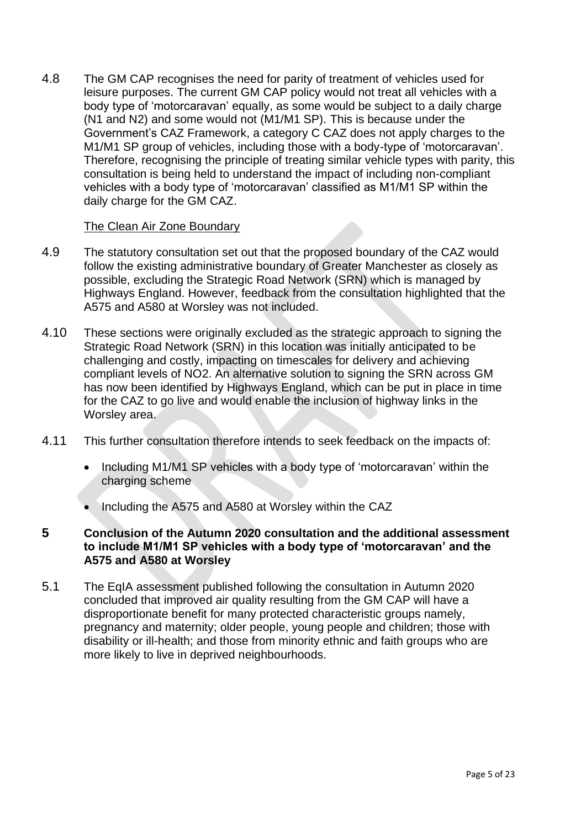4.8 The GM CAP recognises the need for parity of treatment of vehicles used for leisure purposes. The current GM CAP policy would not treat all vehicles with a body type of 'motorcaravan' equally, as some would be subject to a daily charge (N1 and N2) and some would not (M1/M1 SP). This is because under the Government's CAZ Framework, a category C CAZ does not apply charges to the M1/M1 SP group of vehicles, including those with a body-type of 'motorcaravan'. Therefore, recognising the principle of treating similar vehicle types with parity, this consultation is being held to understand the impact of including non-compliant vehicles with a body type of 'motorcaravan' classified as M1/M1 SP within the daily charge for the GM CAZ.

## The Clean Air Zone Boundary

- 4.9 The statutory consultation set out that the proposed boundary of the CAZ would follow the existing administrative boundary of Greater Manchester as closely as possible, excluding the Strategic Road Network (SRN) which is managed by Highways England. However, feedback from the consultation highlighted that the A575 and A580 at Worsley was not included.
- 4.10 These sections were originally excluded as the strategic approach to signing the Strategic Road Network (SRN) in this location was initially anticipated to be challenging and costly, impacting on timescales for delivery and achieving compliant levels of NO2. An alternative solution to signing the SRN across GM has now been identified by Highways England, which can be put in place in time for the CAZ to go live and would enable the inclusion of highway links in the Worsley area.
- 4.11 This further consultation therefore intends to seek feedback on the impacts of:
	- Including M1/M1 SP vehicles with a body type of 'motorcaravan' within the charging scheme
	- Including the A575 and A580 at Worsley within the CAZ
- **5 Conclusion of the Autumn 2020 consultation and the additional assessment to include M1/M1 SP vehicles with a body type of 'motorcaravan' and the A575 and A580 at Worsley**
- 5.1 The EqIA assessment published following the consultation in Autumn 2020 concluded that improved air quality resulting from the GM CAP will have a disproportionate benefit for many protected characteristic groups namely, pregnancy and maternity; older people, young people and children; those with disability or ill-health; and those from minority ethnic and faith groups who are more likely to live in deprived neighbourhoods.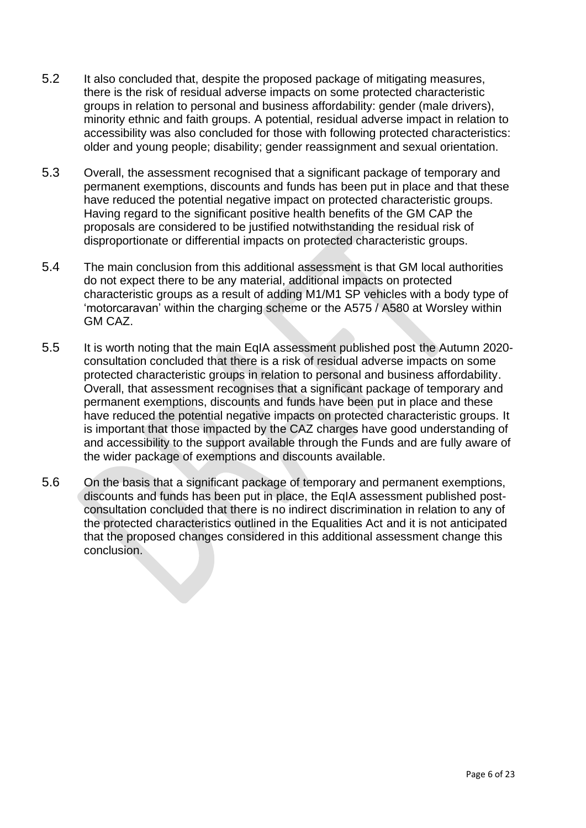- 5.2 It also concluded that, despite the proposed package of mitigating measures, there is the risk of residual adverse impacts on some protected characteristic groups in relation to personal and business affordability: gender (male drivers), minority ethnic and faith groups. A potential, residual adverse impact in relation to accessibility was also concluded for those with following protected characteristics: older and young people; disability; gender reassignment and sexual orientation.
- 5.3 Overall, the assessment recognised that a significant package of temporary and permanent exemptions, discounts and funds has been put in place and that these have reduced the potential negative impact on protected characteristic groups. Having regard to the significant positive health benefits of the GM CAP the proposals are considered to be justified notwithstanding the residual risk of disproportionate or differential impacts on protected characteristic groups.
- 5.4 The main conclusion from this additional assessment is that GM local authorities do not expect there to be any material, additional impacts on protected characteristic groups as a result of adding M1/M1 SP vehicles with a body type of 'motorcaravan' within the charging scheme or the A575 / A580 at Worsley within GM CAZ.
- 5.5 It is worth noting that the main EqIA assessment published post the Autumn 2020 consultation concluded that there is a risk of residual adverse impacts on some protected characteristic groups in relation to personal and business affordability. Overall, that assessment recognises that a significant package of temporary and permanent exemptions, discounts and funds have been put in place and these have reduced the potential negative impacts on protected characteristic groups. It is important that those impacted by the CAZ charges have good understanding of and accessibility to the support available through the Funds and are fully aware of the wider package of exemptions and discounts available.
- 5.6 On the basis that a significant package of temporary and permanent exemptions, discounts and funds has been put in place, the EqIA assessment published postconsultation concluded that there is no indirect discrimination in relation to any of the protected characteristics outlined in the Equalities Act and it is not anticipated that the proposed changes considered in this additional assessment change this conclusion.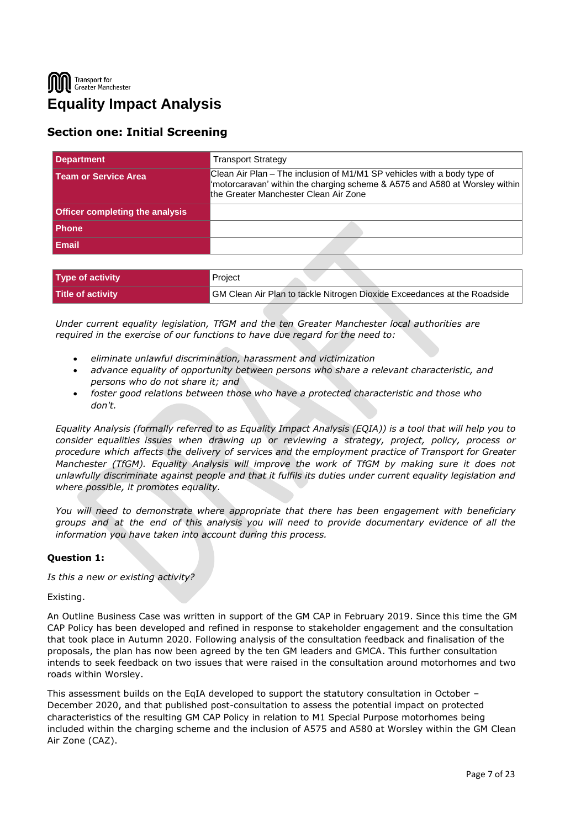Transport for Greater Manchester **Equality Impact Analysis**

## **Section one: Initial Screening**

| <b>Department</b>                      | <b>Transport Strategy</b>                                                                                                                                                                       |  |  |
|----------------------------------------|-------------------------------------------------------------------------------------------------------------------------------------------------------------------------------------------------|--|--|
| l Team or Service Area                 | Clean Air Plan – The inclusion of M1/M1 SP vehicles with a body type of<br>"motorcaravan' within the charging scheme & A575 and A580 at Worsley within<br>the Greater Manchester Clean Air Zone |  |  |
| <b>Officer completing the analysis</b> |                                                                                                                                                                                                 |  |  |
| <b>Phone</b>                           |                                                                                                                                                                                                 |  |  |
| <b>Email</b>                           |                                                                                                                                                                                                 |  |  |
|                                        |                                                                                                                                                                                                 |  |  |

| <b>Type of activity</b> | Project                                                                  |
|-------------------------|--------------------------------------------------------------------------|
| Title of activity       | GM Clean Air Plan to tackle Nitrogen Dioxide Exceedances at the Roadside |

*Under current equality legislation, TfGM and the ten Greater Manchester local authorities are required in the exercise of our functions to have due regard for the need to:*

- *eliminate unlawful discrimination, harassment and victimization*
- *advance equality of opportunity between persons who share a relevant characteristic, and persons who do not share it; and*
- *foster good relations between those who have a protected characteristic and those who don't.*

*Equality Analysis (formally referred to as Equality Impact Analysis (EQIA)) is a tool that will help you to consider equalities issues when drawing up or reviewing a strategy, project, policy, process or procedure which affects the delivery of services and the employment practice of Transport for Greater Manchester (TfGM). Equality Analysis will improve the work of TfGM by making sure it does not unlawfully discriminate against people and that it fulfils its duties under current equality legislation and where possible, it promotes equality.*

*You will need to demonstrate where appropriate that there has been engagement with beneficiary groups and at the end of this analysis you will need to provide documentary evidence of all the information you have taken into account during this process.*

## **Question 1:**

*Is this a new or existing activity?*

Existing.

An Outline Business Case was written in support of the GM CAP in February 2019. Since this time the GM CAP Policy has been developed and refined in response to stakeholder engagement and the consultation that took place in Autumn 2020. Following analysis of the consultation feedback and finalisation of the proposals, the plan has now been agreed by the ten GM leaders and GMCA. This further consultation intends to seek feedback on two issues that were raised in the consultation around motorhomes and two roads within Worsley.

This assessment builds on the EqIA developed to support the statutory consultation in October – December 2020, and that published post-consultation to assess the potential impact on protected characteristics of the resulting GM CAP Policy in relation to M1 Special Purpose motorhomes being included within the charging scheme and the inclusion of A575 and A580 at Worsley within the GM Clean Air Zone (CAZ).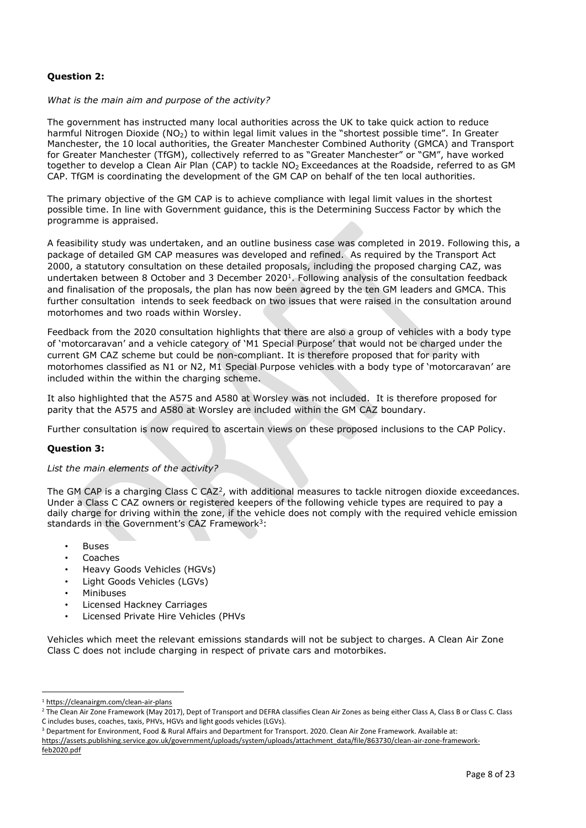### **Question 2:**

#### *What is the main aim and purpose of the activity?*

The government has instructed many local authorities across the UK to take quick action to reduce harmful Nitrogen Dioxide (NO<sub>2</sub>) to within legal limit values in the "shortest possible time". In Greater Manchester, the 10 local authorities, the Greater Manchester Combined Authority (GMCA) and Transport for Greater Manchester (TfGM), collectively referred to as "Greater Manchester" or "GM", have worked together to develop a Clean Air Plan (CAP) to tackle NO<sub>2</sub> Exceedances at the Roadside, referred to as GM CAP. TfGM is coordinating the development of the GM CAP on behalf of the ten local authorities.

The primary objective of the GM CAP is to achieve compliance with legal limit values in the shortest possible time. In line with Government guidance, this is the Determining Success Factor by which the programme is appraised.

A feasibility study was undertaken, and an outline business case was completed in 2019. Following this, a package of detailed GM CAP measures was developed and refined. As required by the Transport Act 2000, a statutory consultation on these detailed proposals, including the proposed charging CAZ, was undertaken between 8 October and 3 December 2020<sup>1</sup>. Following analysis of the consultation feedback and finalisation of the proposals, the plan has now been agreed by the ten GM leaders and GMCA. This further consultation intends to seek feedback on two issues that were raised in the consultation around motorhomes and two roads within Worsley.

Feedback from the 2020 consultation highlights that there are also a group of vehicles with a body type of 'motorcaravan' and a vehicle category of 'M1 Special Purpose' that would not be charged under the current GM CAZ scheme but could be non-compliant. It is therefore proposed that for parity with motorhomes classified as N1 or N2, M1 Special Purpose vehicles with a body type of 'motorcaravan' are included within the within the charging scheme.

It also highlighted that the A575 and A580 at Worsley was not included. It is therefore proposed for parity that the A575 and A580 at Worsley are included within the GM CAZ boundary.

Further consultation is now required to ascertain views on these proposed inclusions to the CAP Policy.

#### **Question 3:**

#### *List the main elements of the activity?*

The GM CAP is a charging Class C CAZ<sup>2</sup>, with additional measures to tackle nitrogen dioxide exceedances. Under a Class C CAZ owners or registered keepers of the following vehicle types are required to pay a daily charge for driving within the zone, if the vehicle does not comply with the required vehicle emission standards in the Government's CAZ Framework<sup>3</sup>:

- **Buses**
- **Coaches**
- Heavy Goods Vehicles (HGVs)
- Light Goods Vehicles (LGVs)
- **Minibuses**
- Licensed Hackney Carriages
- Licensed Private Hire Vehicles (PHVs

Vehicles which meet the relevant emissions standards will not be subject to charges. A Clean Air Zone Class C does not include charging in respect of private cars and motorbikes.

<sup>1</sup> <https://cleanairgm.com/clean-air-plans>

<sup>&</sup>lt;sup>2</sup> The Clean Air Zone Framework (May 2017), Dept of Transport and DEFRA classifies Clean Air Zones as being either Class A, Class B or Class C. Class C includes buses, coaches, taxis, PHVs, HGVs and light goods vehicles (LGVs).

<sup>3</sup> Department for Environment, Food & Rural Affairs and Department for Transport. 2020. Clean Air Zone Framework. Available at:

[https://assets.publishing.service.gov.uk/government/uploads/system/uploads/attachment\\_data/file/863730/clean-air-zone-framework](https://assets.publishing.service.gov.uk/government/uploads/system/uploads/attachment_data/file/863730/clean-air-zone-framework-feb2020.pdf)[feb2020.pdf](https://assets.publishing.service.gov.uk/government/uploads/system/uploads/attachment_data/file/863730/clean-air-zone-framework-feb2020.pdf)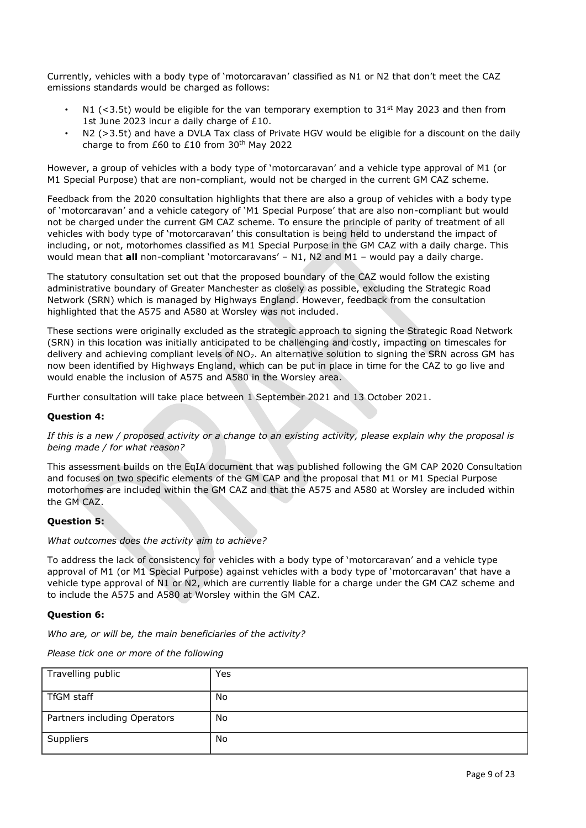Currently, vehicles with a body type of 'motorcaravan' classified as N1 or N2 that don't meet the CAZ emissions standards would be charged as follows:

- N1 (<3.5t) would be eligible for the van temporary exemption to  $31<sup>st</sup>$  May 2023 and then from 1st June 2023 incur a daily charge of £10.
- N2 (>3.5t) and have a DVLA Tax class of Private HGV would be eligible for a discount on the daily charge to from £60 to £10 from 30<sup>th</sup> May 2022

However, a group of vehicles with a body type of 'motorcaravan' and a vehicle type approval of M1 (or M1 Special Purpose) that are non-compliant, would not be charged in the current GM CAZ scheme.

Feedback from the 2020 consultation highlights that there are also a group of vehicles with a body type of 'motorcaravan' and a vehicle category of 'M1 Special Purpose' that are also non-compliant but would not be charged under the current GM CAZ scheme. To ensure the principle of parity of treatment of all vehicles with body type of 'motorcaravan' this consultation is being held to understand the impact of including, or not, motorhomes classified as M1 Special Purpose in the GM CAZ with a daily charge. This would mean that **all** non-compliant 'motorcaravans' – N1, N2 and M1 – would pay a daily charge.

The statutory consultation set out that the proposed boundary of the CAZ would follow the existing administrative boundary of Greater Manchester as closely as possible, excluding the Strategic Road Network (SRN) which is managed by Highways England. However, feedback from the consultation highlighted that the A575 and A580 at Worsley was not included.

These sections were originally excluded as the strategic approach to signing the Strategic Road Network (SRN) in this location was initially anticipated to be challenging and costly, impacting on timescales for delivery and achieving compliant levels of NO<sub>2</sub>. An alternative solution to signing the SRN across GM has now been identified by Highways England, which can be put in place in time for the CAZ to go live and would enable the inclusion of A575 and A580 in the Worsley area.

Further consultation will take place between 1 September 2021 and 13 October 2021.

#### **Question 4:**

*If this is a new / proposed activity or a change to an existing activity, please explain why the proposal is being made / for what reason?*

This assessment builds on the EqIA document that was published following the GM CAP 2020 Consultation and focuses on two specific elements of the GM CAP and the proposal that M1 or M1 Special Purpose motorhomes are included within the GM CAZ and that the A575 and A580 at Worsley are included within the GM CAZ.

#### **Question 5:**

#### *What outcomes does the activity aim to achieve?*

To address the lack of consistency for vehicles with a body type of 'motorcaravan' and a vehicle type approval of M1 (or M1 Special Purpose) against vehicles with a body type of 'motorcaravan' that have a vehicle type approval of N1 or N2, which are currently liable for a charge under the GM CAZ scheme and to include the A575 and A580 at Worsley within the GM CAZ.

#### **Question 6:**

*Who are, or will be, the main beneficiaries of the activity?*

*Please tick one or more of the following*

| Travelling public            | Yes |
|------------------------------|-----|
| TfGM staff                   | No  |
| Partners including Operators | No  |
| Suppliers                    | No  |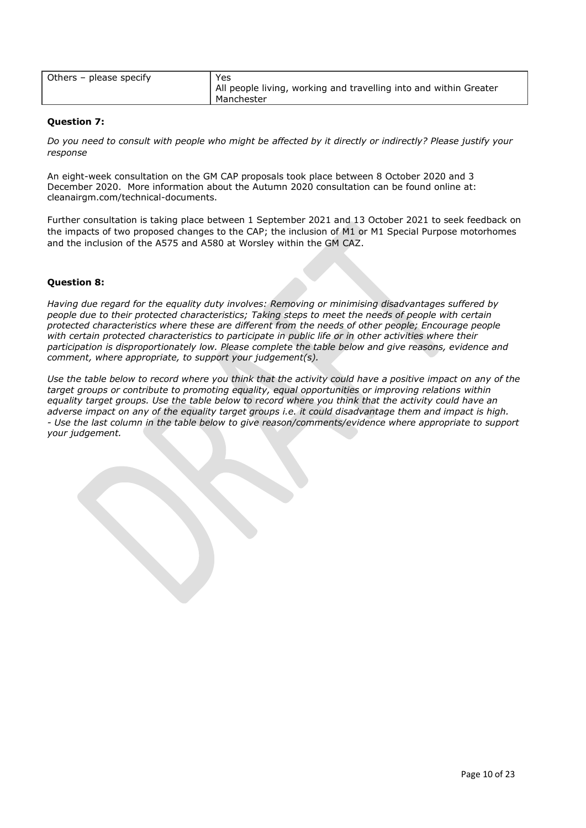| Others – please specify | Yes<br>  All people living, working and travelling into and within Greater |
|-------------------------|----------------------------------------------------------------------------|
|                         | Manchester                                                                 |
|                         |                                                                            |

#### **Question 7:**

*Do you need to consult with people who might be affected by it directly or indirectly? Please justify your response*

An eight-week consultation on the GM CAP proposals took place between 8 October 2020 and 3 December 2020. More information about the Autumn 2020 consultation can be found online at: cleanairgm.com/technical-documents.

Further consultation is taking place between 1 September 2021 and 13 October 2021 to seek feedback on the impacts of two proposed changes to the CAP; the inclusion of M1 or M1 Special Purpose motorhomes and the inclusion of the A575 and A580 at Worsley within the GM CAZ.

#### **Question 8:**

*Having due regard for the equality duty involves: Removing or minimising disadvantages suffered by people due to their protected characteristics; Taking steps to meet the needs of people with certain protected characteristics where these are different from the needs of other people; Encourage people with certain protected characteristics to participate in public life or in other activities where their participation is disproportionately low. Please complete the table below and give reasons, evidence and comment, where appropriate, to support your judgement(s).*

*Use the table below to record where you think that the activity could have a positive impact on any of the target groups or contribute to promoting equality, equal opportunities or improving relations within equality target groups. Use the table below to record where you think that the activity could have an adverse impact on any of the equality target groups i.e. it could disadvantage them and impact is high. - Use the last column in the table below to give reason/comments/evidence where appropriate to support your judgement.*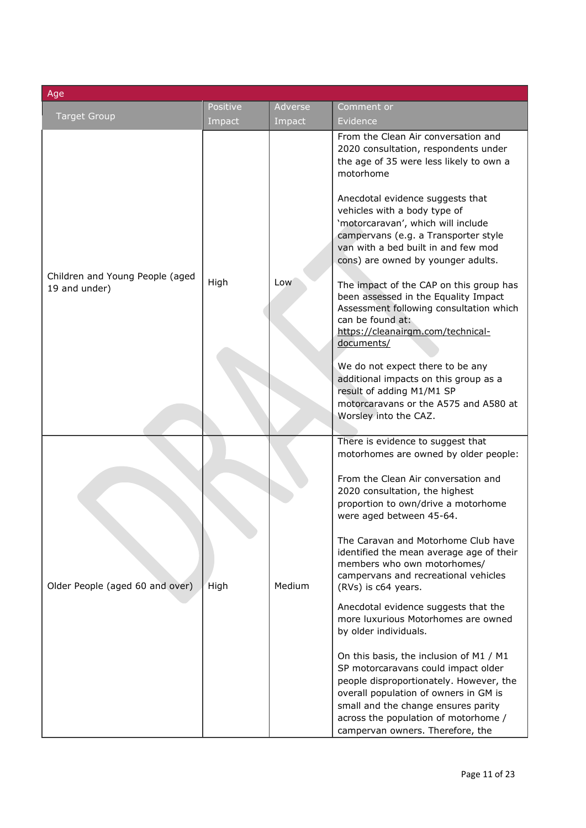| Age                                              |                    |                   |                                                                                                                                                                                                                                                                                                                                                                                                                                                                                                                                                                                                                                                                                                                                                                                                          |  |
|--------------------------------------------------|--------------------|-------------------|----------------------------------------------------------------------------------------------------------------------------------------------------------------------------------------------------------------------------------------------------------------------------------------------------------------------------------------------------------------------------------------------------------------------------------------------------------------------------------------------------------------------------------------------------------------------------------------------------------------------------------------------------------------------------------------------------------------------------------------------------------------------------------------------------------|--|
| <b>Target Group</b>                              | Positive<br>Impact | Adverse<br>Impact | Comment or<br>Evidence                                                                                                                                                                                                                                                                                                                                                                                                                                                                                                                                                                                                                                                                                                                                                                                   |  |
| Children and Young People (aged<br>19 and under) | High               | Low               | From the Clean Air conversation and<br>2020 consultation, respondents under<br>the age of 35 were less likely to own a<br>motorhome<br>Anecdotal evidence suggests that<br>vehicles with a body type of<br>'motorcaravan', which will include<br>campervans (e.g. a Transporter style<br>van with a bed built in and few mod<br>cons) are owned by younger adults.<br>The impact of the CAP on this group has<br>been assessed in the Equality Impact<br>Assessment following consultation which<br>can be found at:<br>https://cleanairgm.com/technical-<br><u>documents/</u><br>We do not expect there to be any<br>additional impacts on this group as a<br>result of adding M1/M1 SP<br>motorcaravans or the A575 and A580 at<br>Worsley into the CAZ.                                               |  |
| Older People (aged 60 and over)                  | High               | Medium            | There is evidence to suggest that<br>motorhomes are owned by older people:<br>From the Clean Air conversation and<br>2020 consultation, the highest<br>proportion to own/drive a motorhome<br>were aged between 45-64.<br>The Caravan and Motorhome Club have<br>identified the mean average age of their<br>members who own motorhomes/<br>campervans and recreational vehicles<br>(RVs) is c64 years.<br>Anecdotal evidence suggests that the<br>more luxurious Motorhomes are owned<br>by older individuals.<br>On this basis, the inclusion of M1 / M1<br>SP motorcaravans could impact older<br>people disproportionately. However, the<br>overall population of owners in GM is<br>small and the change ensures parity<br>across the population of motorhome /<br>campervan owners. Therefore, the |  |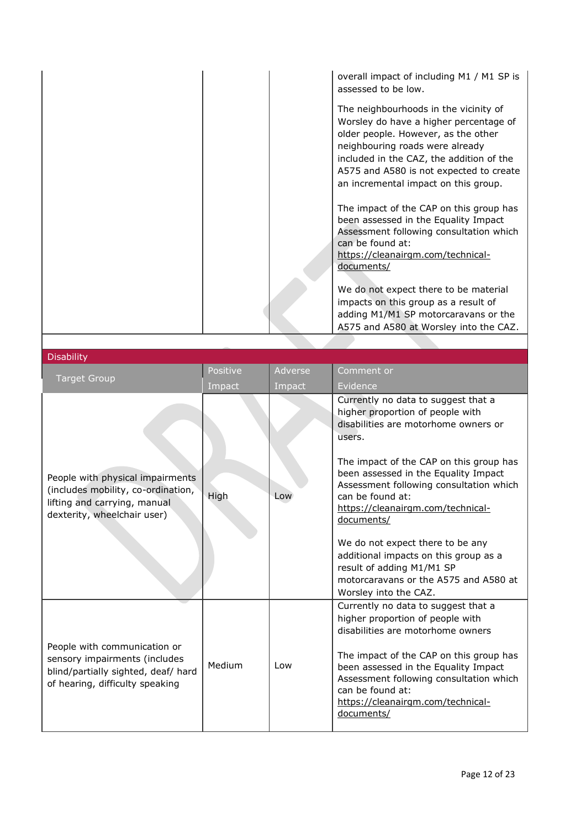| assessed to be low.                                                 | overall impact of including M1 / M1 SP is                                                                                                                                                                                                             |
|---------------------------------------------------------------------|-------------------------------------------------------------------------------------------------------------------------------------------------------------------------------------------------------------------------------------------------------|
| neighbouring roads were already                                     | The neighbourhoods in the vicinity of<br>Worsley do have a higher percentage of<br>older people. However, as the other<br>included in the CAZ, the addition of the<br>A575 and A580 is not expected to create<br>an incremental impact on this group. |
| can be found at:<br>https://cleanairgm.com/technical-<br>documents/ | The impact of the CAP on this group has<br>been assessed in the Equality Impact<br>Assessment following consultation which                                                                                                                            |
|                                                                     | We do not expect there to be material<br>impacts on this group as a result of<br>adding M1/M1 SP motorcaravans or the<br>A575 and A580 at Worsley into the CAZ.                                                                                       |

 $\mathsf{I}$ 

| <b>Disability</b>                                                                                                                       |          |         |                                                                                                                                                                                                                                                                                                                                                                                                                                                                                                            |  |
|-----------------------------------------------------------------------------------------------------------------------------------------|----------|---------|------------------------------------------------------------------------------------------------------------------------------------------------------------------------------------------------------------------------------------------------------------------------------------------------------------------------------------------------------------------------------------------------------------------------------------------------------------------------------------------------------------|--|
|                                                                                                                                         | Positive | Adverse | Comment or                                                                                                                                                                                                                                                                                                                                                                                                                                                                                                 |  |
| <b>Target Group</b>                                                                                                                     | Impact   | Impact  | Evidence                                                                                                                                                                                                                                                                                                                                                                                                                                                                                                   |  |
| People with physical impairments<br>(includes mobility, co-ordination,<br>lifting and carrying, manual<br>dexterity, wheelchair user)   | High     | Low     | Currently no data to suggest that a<br>higher proportion of people with<br>disabilities are motorhome owners or<br>users.<br>The impact of the CAP on this group has<br>been assessed in the Equality Impact<br>Assessment following consultation which<br>can be found at:<br>https://cleanairgm.com/technical-<br>documents/<br>We do not expect there to be any<br>additional impacts on this group as a<br>result of adding M1/M1 SP<br>motorcaravans or the A575 and A580 at<br>Worsley into the CAZ. |  |
| People with communication or<br>sensory impairments (includes<br>blind/partially sighted, deaf/ hard<br>of hearing, difficulty speaking | Medium   | Low     | Currently no data to suggest that a<br>higher proportion of people with<br>disabilities are motorhome owners<br>The impact of the CAP on this group has<br>been assessed in the Equality Impact<br>Assessment following consultation which<br>can be found at:<br>https://cleanairgm.com/technical-<br>documents/                                                                                                                                                                                          |  |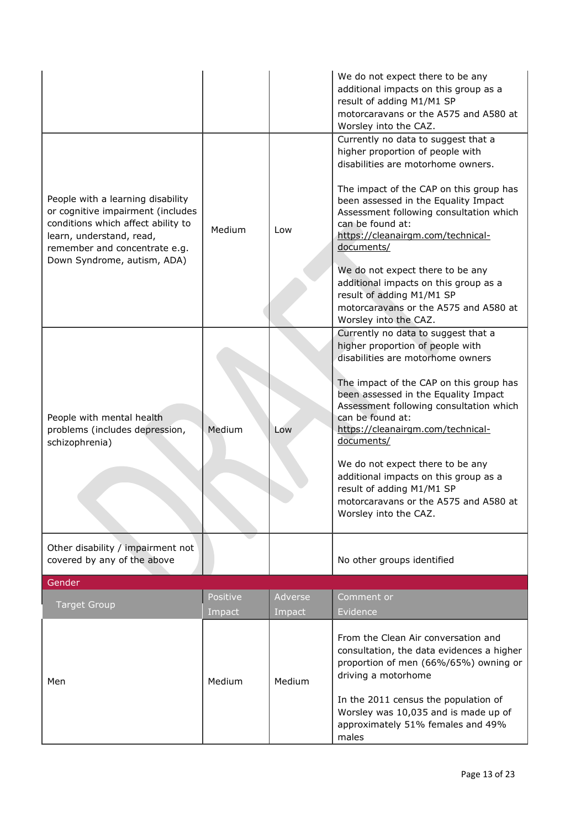|                                                                                                                                                                                                          |                    |                   | We do not expect there to be any<br>additional impacts on this group as a<br>result of adding M1/M1 SP<br>motorcaravans or the A575 and A580 at<br>Worsley into the CAZ.                                                                                                                                                                                                                                                                                                                       |
|----------------------------------------------------------------------------------------------------------------------------------------------------------------------------------------------------------|--------------------|-------------------|------------------------------------------------------------------------------------------------------------------------------------------------------------------------------------------------------------------------------------------------------------------------------------------------------------------------------------------------------------------------------------------------------------------------------------------------------------------------------------------------|
| People with a learning disability<br>or cognitive impairment (includes<br>conditions which affect ability to<br>learn, understand, read,<br>remember and concentrate e.g.<br>Down Syndrome, autism, ADA) | Medium             | Low               | Currently no data to suggest that a<br>higher proportion of people with<br>disabilities are motorhome owners.<br>The impact of the CAP on this group has<br>been assessed in the Equality Impact<br>Assessment following consultation which<br>can be found at:<br>https://cleanairgm.com/technical-<br>documents/<br>We do not expect there to be any<br>additional impacts on this group as a<br>result of adding M1/M1 SP<br>motorcaravans or the A575 and A580 at<br>Worsley into the CAZ. |
| People with mental health<br>problems (includes depression,<br>schizophrenia)                                                                                                                            | Medium             | Low               | Currently no data to suggest that a<br>higher proportion of people with<br>disabilities are motorhome owners<br>The impact of the CAP on this group has<br>been assessed in the Equality Impact<br>Assessment following consultation which<br>can be found at:<br>https://cleanairgm.com/technical-<br>documents/<br>We do not expect there to be any<br>additional impacts on this group as a<br>result of adding M1/M1 SP<br>motorcaravans or the A575 and A580 at<br>Worsley into the CAZ.  |
| Other disability / impairment not<br>covered by any of the above                                                                                                                                         |                    |                   | No other groups identified                                                                                                                                                                                                                                                                                                                                                                                                                                                                     |
| Gender<br><b>Target Group</b>                                                                                                                                                                            | Positive<br>Impact | Adverse<br>Impact | Comment or<br>Evidence                                                                                                                                                                                                                                                                                                                                                                                                                                                                         |
| Men                                                                                                                                                                                                      | Medium             | Medium            | From the Clean Air conversation and<br>consultation, the data evidences a higher<br>proportion of men (66%/65%) owning or<br>driving a motorhome<br>In the 2011 census the population of<br>Worsley was 10,035 and is made up of<br>approximately 51% females and 49%<br>males                                                                                                                                                                                                                 |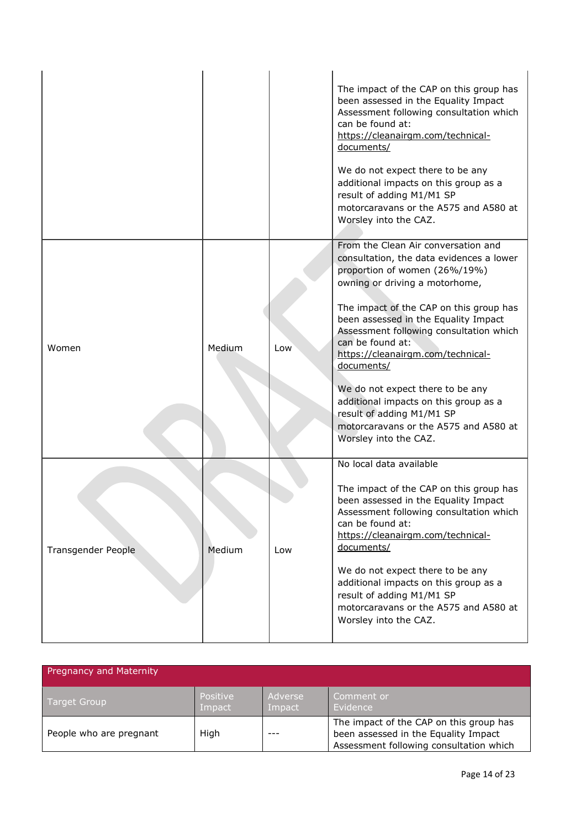|                    |        |     | The impact of the CAP on this group has<br>been assessed in the Equality Impact<br>Assessment following consultation which<br>can be found at:<br>https://cleanairgm.com/technical-<br>documents/<br>We do not expect there to be any<br>additional impacts on this group as a<br>result of adding M1/M1 SP<br>motorcaravans or the A575 and A580 at<br>Worsley into the CAZ.                                                                                                                                                       |
|--------------------|--------|-----|-------------------------------------------------------------------------------------------------------------------------------------------------------------------------------------------------------------------------------------------------------------------------------------------------------------------------------------------------------------------------------------------------------------------------------------------------------------------------------------------------------------------------------------|
| Women              | Medium | Low | From the Clean Air conversation and<br>consultation, the data evidences a lower<br>proportion of women (26%/19%)<br>owning or driving a motorhome,<br>The impact of the CAP on this group has<br>been assessed in the Equality Impact<br>Assessment following consultation which<br>can be found at:<br>https://cleanairgm.com/technical-<br>documents/<br>We do not expect there to be any<br>additional impacts on this group as a<br>result of adding M1/M1 SP<br>motorcaravans or the A575 and A580 at<br>Worsley into the CAZ. |
| Transgender People | Medium | Low | No local data available<br>The impact of the CAP on this group has<br>been assessed in the Equality Impact<br>Assessment following consultation which<br>can be found at:<br>https://cleanairgm.com/technical-<br>documents/<br>We do not expect there to be any<br>additional impacts on this group as a<br>result of adding M1/M1 SP<br>motorcaravans or the A575 and A580 at<br>Worsley into the CAZ.                                                                                                                            |

| <b>Pregnancy and Maternity</b> |                    |                   |                                                                                                                            |
|--------------------------------|--------------------|-------------------|----------------------------------------------------------------------------------------------------------------------------|
| <b>Target Group</b>            | Positive<br>Impact | Adverse<br>Impact | Comment or<br>Evidence                                                                                                     |
| People who are pregnant        | High               |                   | The impact of the CAP on this group has<br>been assessed in the Equality Impact<br>Assessment following consultation which |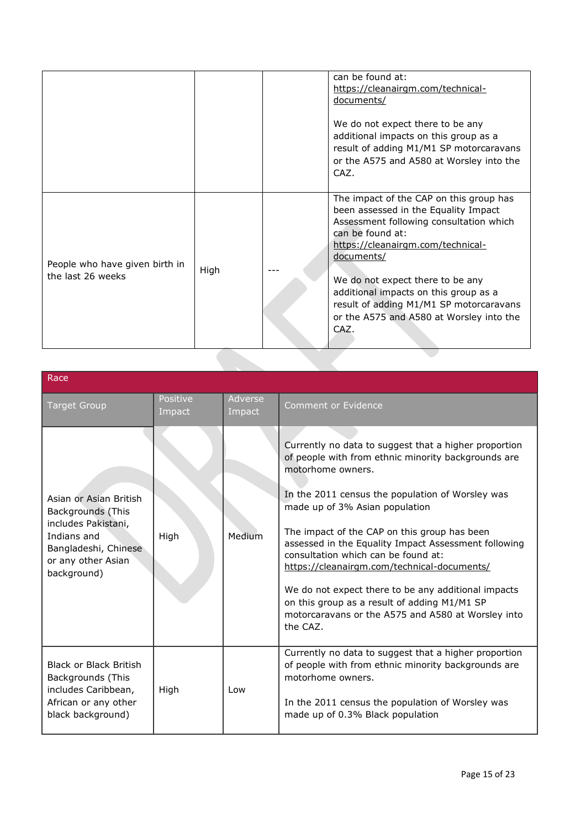| The impact of the CAP on this group has<br>been assessed in the Equality Impact<br>Assessment following consultation which<br>can be found at:<br>https://cleanairgm.com/technical-<br>documents/<br>People who have given birth in<br>High<br>the last 26 weeks<br>We do not expect there to be any<br>additional impacts on this group as a<br>result of adding M1/M1 SP motorcaravans<br>or the A575 and A580 at Worsley into the<br>CAZ. |  | can be found at:<br>https://cleanairgm.com/technical-<br>documents/<br>We do not expect there to be any<br>additional impacts on this group as a<br>result of adding M1/M1 SP motorcaravans<br>or the A575 and A580 at Worsley into the<br>CAZ. |
|----------------------------------------------------------------------------------------------------------------------------------------------------------------------------------------------------------------------------------------------------------------------------------------------------------------------------------------------------------------------------------------------------------------------------------------------|--|-------------------------------------------------------------------------------------------------------------------------------------------------------------------------------------------------------------------------------------------------|
|                                                                                                                                                                                                                                                                                                                                                                                                                                              |  |                                                                                                                                                                                                                                                 |

| Race                                                                                                                                           |                    |                   |                                                                                                                                                                                                                                                                                                                                                                                                                                                                                                                                                                                                |
|------------------------------------------------------------------------------------------------------------------------------------------------|--------------------|-------------------|------------------------------------------------------------------------------------------------------------------------------------------------------------------------------------------------------------------------------------------------------------------------------------------------------------------------------------------------------------------------------------------------------------------------------------------------------------------------------------------------------------------------------------------------------------------------------------------------|
| <b>Target Group</b>                                                                                                                            | Positive<br>Impact | Adverse<br>Impact | <b>Comment or Evidence</b>                                                                                                                                                                                                                                                                                                                                                                                                                                                                                                                                                                     |
| Asian or Asian British<br>Backgrounds (This<br>includes Pakistani,<br>Indians and<br>Bangladeshi, Chinese<br>or any other Asian<br>background) | High               | Medium            | Currently no data to suggest that a higher proportion<br>of people with from ethnic minority backgrounds are<br>motorhome owners.<br>In the 2011 census the population of Worsley was<br>made up of 3% Asian population<br>The impact of the CAP on this group has been<br>assessed in the Equality Impact Assessment following<br>consultation which can be found at:<br>https://cleanairgm.com/technical-documents/<br>We do not expect there to be any additional impacts<br>on this group as a result of adding M1/M1 SP<br>motorcaravans or the A575 and A580 at Worsley into<br>the CAZ. |
| <b>Black or Black British</b><br>Backgrounds (This<br>includes Caribbean,<br>African or any other<br>black background)                         | High               | Low               | Currently no data to suggest that a higher proportion<br>of people with from ethnic minority backgrounds are<br>motorhome owners.<br>In the 2011 census the population of Worsley was<br>made up of 0.3% Black population                                                                                                                                                                                                                                                                                                                                                                      |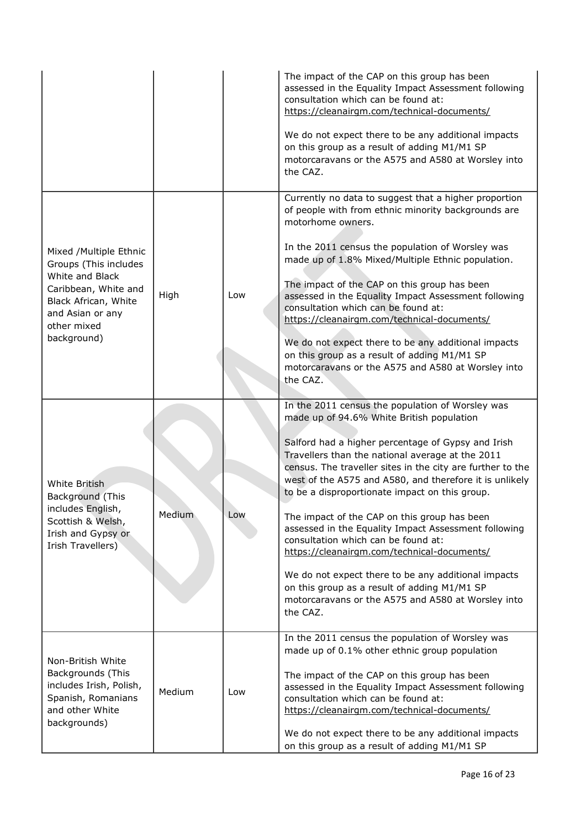|                                                                                                                                                                      |        |     | The impact of the CAP on this group has been<br>assessed in the Equality Impact Assessment following<br>consultation which can be found at:<br>https://cleanairgm.com/technical-documents/<br>We do not expect there to be any additional impacts<br>on this group as a result of adding M1/M1 SP<br>motorcaravans or the A575 and A580 at Worsley into<br>the CAZ.                                                                                                                                                                                                                                                                                                                                                                                       |
|----------------------------------------------------------------------------------------------------------------------------------------------------------------------|--------|-----|-----------------------------------------------------------------------------------------------------------------------------------------------------------------------------------------------------------------------------------------------------------------------------------------------------------------------------------------------------------------------------------------------------------------------------------------------------------------------------------------------------------------------------------------------------------------------------------------------------------------------------------------------------------------------------------------------------------------------------------------------------------|
| Mixed /Multiple Ethnic<br>Groups (This includes<br>White and Black<br>Caribbean, White and<br>Black African, White<br>and Asian or any<br>other mixed<br>background) | High   | Low | Currently no data to suggest that a higher proportion<br>of people with from ethnic minority backgrounds are<br>motorhome owners.<br>In the 2011 census the population of Worsley was<br>made up of 1.8% Mixed/Multiple Ethnic population.<br>The impact of the CAP on this group has been<br>assessed in the Equality Impact Assessment following<br>consultation which can be found at:<br>https://cleanairgm.com/technical-documents/<br>We do not expect there to be any additional impacts<br>on this group as a result of adding M1/M1 SP<br>motorcaravans or the A575 and A580 at Worsley into<br>the CAZ.                                                                                                                                         |
| White British<br>Background (This<br>includes English,<br>Scottish & Welsh,<br>Irish and Gypsy or<br>Irish Travellers)                                               | Medium | Low | In the 2011 census the population of Worsley was<br>made up of 94.6% White British population<br>Salford had a higher percentage of Gypsy and Irish<br>Travellers than the national average at the 2011<br>census. The traveller sites in the city are further to the<br>west of the A575 and A580, and therefore it is unlikely<br>to be a disproportionate impact on this group.<br>The impact of the CAP on this group has been<br>assessed in the Equality Impact Assessment following<br>consultation which can be found at:<br>https://cleanairgm.com/technical-documents/<br>We do not expect there to be any additional impacts<br>on this group as a result of adding M1/M1 SP<br>motorcaravans or the A575 and A580 at Worsley into<br>the CAZ. |
| Non-British White<br>Backgrounds (This<br>includes Irish, Polish,<br>Spanish, Romanians<br>and other White<br>backgrounds)                                           | Medium | Low | In the 2011 census the population of Worsley was<br>made up of 0.1% other ethnic group population<br>The impact of the CAP on this group has been<br>assessed in the Equality Impact Assessment following<br>consultation which can be found at:<br>https://cleanairgm.com/technical-documents/<br>We do not expect there to be any additional impacts<br>on this group as a result of adding M1/M1 SP                                                                                                                                                                                                                                                                                                                                                    |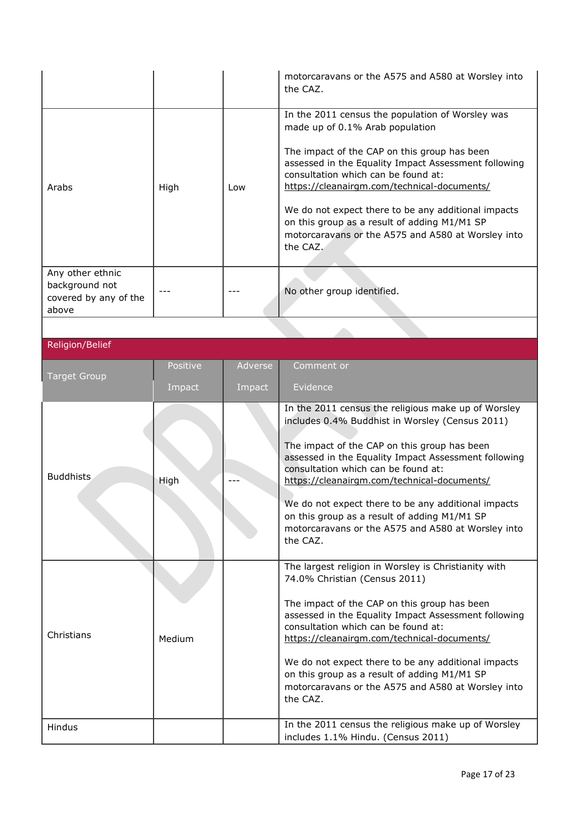|                        |          |         | motorcaravans or the A575 and A580 at Worsley into<br>the CAZ.                                                                                                                             |
|------------------------|----------|---------|--------------------------------------------------------------------------------------------------------------------------------------------------------------------------------------------|
|                        |          |         | In the 2011 census the population of Worsley was<br>made up of 0.1% Arab population                                                                                                        |
| Arabs                  | High     | Low     | The impact of the CAP on this group has been<br>assessed in the Equality Impact Assessment following<br>consultation which can be found at:<br>https://cleanairgm.com/technical-documents/ |
|                        |          |         | We do not expect there to be any additional impacts<br>on this group as a result of adding M1/M1 SP<br>motorcaravans or the A575 and A580 at Worsley into<br>the CAZ.                      |
| Any other ethnic       |          |         |                                                                                                                                                                                            |
| background not         |          |         |                                                                                                                                                                                            |
| covered by any of the  |          |         | No other group identified.                                                                                                                                                                 |
| above                  |          |         |                                                                                                                                                                                            |
|                        |          |         |                                                                                                                                                                                            |
|                        |          |         |                                                                                                                                                                                            |
| <b>Religion/Belief</b> |          |         |                                                                                                                                                                                            |
|                        | Positive | Adverse | Comment or                                                                                                                                                                                 |
| <b>Target Group</b>    |          |         |                                                                                                                                                                                            |
|                        | Impact   | Impact  | Evidence                                                                                                                                                                                   |
|                        |          |         |                                                                                                                                                                                            |
|                        |          |         | In the 2011 census the religious make up of Worsley<br>includes 0.4% Buddhist in Worsley (Census 2011)                                                                                     |
| <b>Buddhists</b>       | High     |         | The impact of the CAP on this group has been<br>assessed in the Equality Impact Assessment following<br>consultation which can be found at:<br>https://cleanairgm.com/technical-documents/ |
|                        |          |         | We do not expect there to be any additional impacts                                                                                                                                        |
|                        |          |         | on this group as a result of adding M1/M1 SP                                                                                                                                               |
|                        |          |         | motorcaravans or the A575 and A580 at Worsley into                                                                                                                                         |
|                        |          |         | the CAZ.                                                                                                                                                                                   |
|                        |          |         |                                                                                                                                                                                            |
|                        |          |         | The largest religion in Worsley is Christianity with<br>74.0% Christian (Census 2011)                                                                                                      |
|                        |          |         | The impact of the CAP on this group has been<br>assessed in the Equality Impact Assessment following                                                                                       |
| Christians             |          |         | consultation which can be found at:                                                                                                                                                        |
|                        | Medium   |         | https://cleanairgm.com/technical-documents/                                                                                                                                                |
|                        |          |         | We do not expect there to be any additional impacts                                                                                                                                        |
|                        |          |         | on this group as a result of adding M1/M1 SP                                                                                                                                               |
|                        |          |         | motorcaravans or the A575 and A580 at Worsley into                                                                                                                                         |
|                        |          |         | the CAZ.                                                                                                                                                                                   |
|                        |          |         |                                                                                                                                                                                            |
| Hindus                 |          |         | In the 2011 census the religious make up of Worsley<br>includes 1.1% Hindu. (Census 2011)                                                                                                  |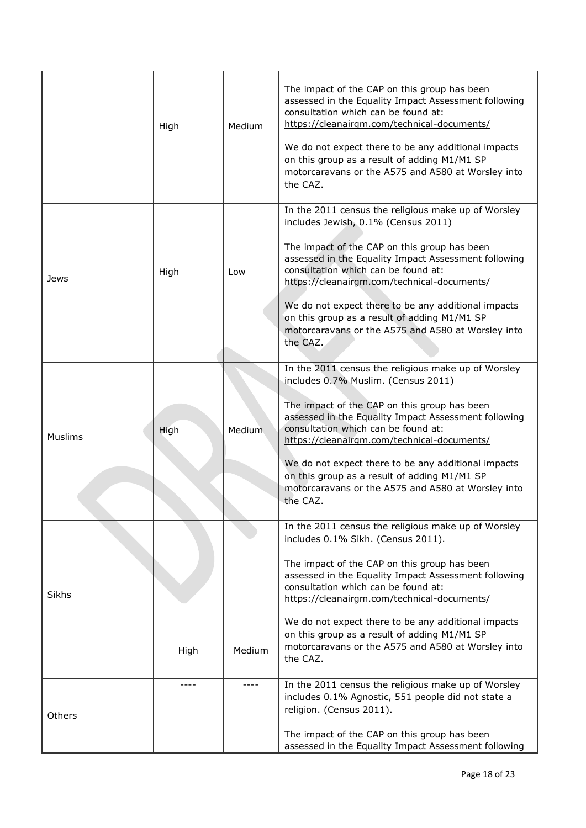|                | High | Medium | The impact of the CAP on this group has been<br>assessed in the Equality Impact Assessment following<br>consultation which can be found at:<br>https://cleanairgm.com/technical-documents/<br>We do not expect there to be any additional impacts<br>on this group as a result of adding M1/M1 SP<br>motorcaravans or the A575 and A580 at Worsley into<br>the CAZ.                                                                                               |
|----------------|------|--------|-------------------------------------------------------------------------------------------------------------------------------------------------------------------------------------------------------------------------------------------------------------------------------------------------------------------------------------------------------------------------------------------------------------------------------------------------------------------|
| Jews           | High | Low    | In the 2011 census the religious make up of Worsley<br>includes Jewish, 0.1% (Census 2011)<br>The impact of the CAP on this group has been<br>assessed in the Equality Impact Assessment following<br>consultation which can be found at:<br>https://cleanairgm.com/technical-documents/<br>We do not expect there to be any additional impacts<br>on this group as a result of adding M1/M1 SP<br>motorcaravans or the A575 and A580 at Worsley into<br>the CAZ. |
| <b>Muslims</b> | High | Medium | In the 2011 census the religious make up of Worsley<br>includes 0.7% Muslim. (Census 2011)<br>The impact of the CAP on this group has been<br>assessed in the Equality Impact Assessment following<br>consultation which can be found at:<br>https://cleanairgm.com/technical-documents/<br>We do not expect there to be any additional impacts<br>on this group as a result of adding M1/M1 SP<br>motorcaravans or the A575 and A580 at Worsley into<br>the CAZ. |
| Sikhs          | High | Medium | In the 2011 census the religious make up of Worsley<br>includes 0.1% Sikh. (Census 2011).<br>The impact of the CAP on this group has been<br>assessed in the Equality Impact Assessment following<br>consultation which can be found at:<br>https://cleanairgm.com/technical-documents/<br>We do not expect there to be any additional impacts<br>on this group as a result of adding M1/M1 SP<br>motorcaravans or the A575 and A580 at Worsley into<br>the CAZ.  |
| <b>Others</b>  |      |        | In the 2011 census the religious make up of Worsley<br>includes 0.1% Agnostic, 551 people did not state a<br>religion. (Census 2011).<br>The impact of the CAP on this group has been<br>assessed in the Equality Impact Assessment following                                                                                                                                                                                                                     |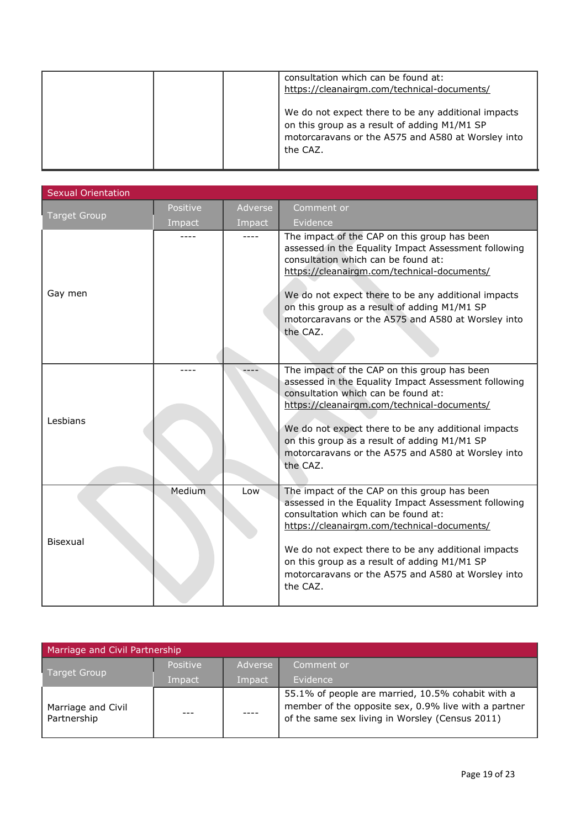|  | consultation which can be found at:<br>https://cleanairgm.com/technical-documents/                                                                                    |
|--|-----------------------------------------------------------------------------------------------------------------------------------------------------------------------|
|  | We do not expect there to be any additional impacts<br>on this group as a result of adding M1/M1 SP<br>motorcaravans or the A575 and A580 at Worsley into<br>the CAZ. |

| Sexual Orientation  |          |         |                                                                                                                                                                                                                                                                                                                                                                     |  |
|---------------------|----------|---------|---------------------------------------------------------------------------------------------------------------------------------------------------------------------------------------------------------------------------------------------------------------------------------------------------------------------------------------------------------------------|--|
| <b>Target Group</b> | Positive | Adverse | Comment or                                                                                                                                                                                                                                                                                                                                                          |  |
|                     | Impact   | Impact  | Evidence                                                                                                                                                                                                                                                                                                                                                            |  |
| Gay men             |          |         | The impact of the CAP on this group has been<br>assessed in the Equality Impact Assessment following<br>consultation which can be found at:<br>https://cleanairgm.com/technical-documents/<br>We do not expect there to be any additional impacts<br>on this group as a result of adding M1/M1 SP<br>motorcaravans or the A575 and A580 at Worsley into<br>the CAZ. |  |
| Lesbians            |          |         | The impact of the CAP on this group has been<br>assessed in the Equality Impact Assessment following<br>consultation which can be found at:<br>https://cleanairgm.com/technical-documents/<br>We do not expect there to be any additional impacts<br>on this group as a result of adding M1/M1 SP<br>motorcaravans or the A575 and A580 at Worsley into<br>the CAZ. |  |
| Bisexual            | Medium   | Low     | The impact of the CAP on this group has been<br>assessed in the Equality Impact Assessment following<br>consultation which can be found at:<br>https://cleanairgm.com/technical-documents/<br>We do not expect there to be any additional impacts<br>on this group as a result of adding M1/M1 SP<br>motorcaravans or the A575 and A580 at Worsley into<br>the CAZ. |  |

| Marriage and Civil Partnership    |                 |         |                                                                                                                                                              |
|-----------------------------------|-----------------|---------|--------------------------------------------------------------------------------------------------------------------------------------------------------------|
| Target Group                      | <b>Positive</b> | Adverse | Comment or                                                                                                                                                   |
|                                   | Impact          | Impact  | Evidence                                                                                                                                                     |
| Marriage and Civil<br>Partnership |                 |         | 55.1% of people are married, 10.5% cohabit with a<br>member of the opposite sex, 0.9% live with a partner<br>of the same sex living in Worsley (Census 2011) |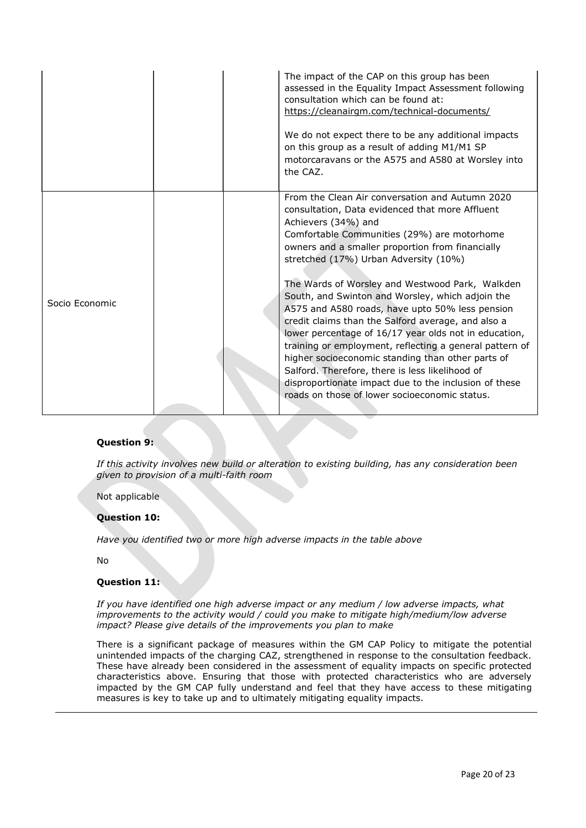|                | The impact of the CAP on this group has been<br>assessed in the Equality Impact Assessment following<br>consultation which can be found at:<br>https://cleanairgm.com/technical-documents/<br>We do not expect there to be any additional impacts<br>on this group as a result of adding M1/M1 SP<br>motorcaravans or the A575 and A580 at Worsley into<br>the CAZ.                                                                                                                                                                                                                                                                                                                                                                                                                                                         |
|----------------|-----------------------------------------------------------------------------------------------------------------------------------------------------------------------------------------------------------------------------------------------------------------------------------------------------------------------------------------------------------------------------------------------------------------------------------------------------------------------------------------------------------------------------------------------------------------------------------------------------------------------------------------------------------------------------------------------------------------------------------------------------------------------------------------------------------------------------|
| Socio Economic | From the Clean Air conversation and Autumn 2020<br>consultation, Data evidenced that more Affluent<br>Achievers (34%) and<br>Comfortable Communities (29%) are motorhome<br>owners and a smaller proportion from financially<br>stretched (17%) Urban Adversity (10%)<br>The Wards of Worsley and Westwood Park, Walkden<br>South, and Swinton and Worsley, which adjoin the<br>A575 and A580 roads, have upto 50% less pension<br>credit claims than the Salford average, and also a<br>lower percentage of 16/17 year olds not in education,<br>training or employment, reflecting a general pattern of<br>higher socioeconomic standing than other parts of<br>Salford. Therefore, there is less likelihood of<br>disproportionate impact due to the inclusion of these<br>roads on those of lower socioeconomic status. |

#### **Question 9:**

*If this activity involves new build or alteration to existing building, has any consideration been given to provision of a multi-faith room*

Not applicable

#### **Question 10:**

*Have you identified two or more high adverse impacts in the table above*

No

#### **Question 11:**

*If you have identified one high adverse impact or any medium / low adverse impacts, what improvements to the activity would / could you make to mitigate high/medium/low adverse impact? Please give details of the improvements you plan to make*

There is a significant package of measures within the GM CAP Policy to mitigate the potential unintended impacts of the charging CAZ, strengthened in response to the consultation feedback. These have already been considered in the assessment of equality impacts on specific protected characteristics above. Ensuring that those with protected characteristics who are adversely impacted by the GM CAP fully understand and feel that they have access to these mitigating measures is key to take up and to ultimately mitigating equality impacts.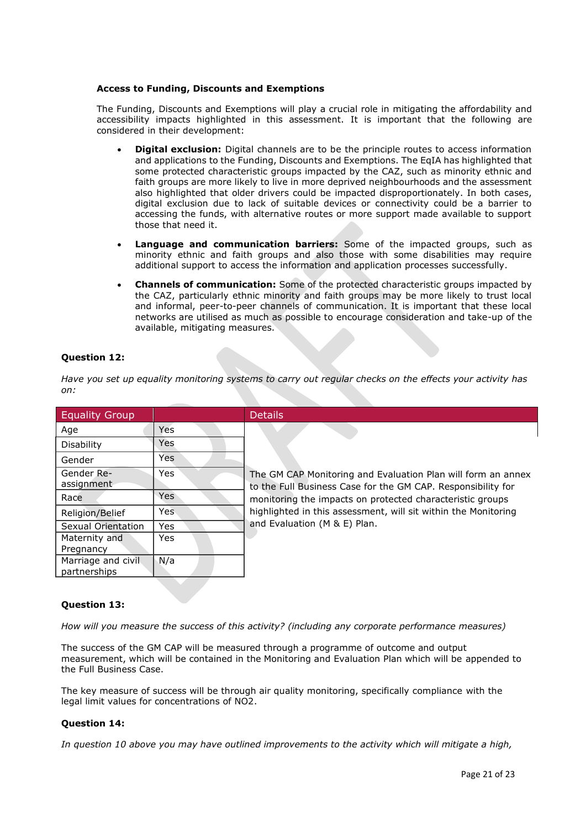#### **Access to Funding, Discounts and Exemptions**

The Funding, Discounts and Exemptions will play a crucial role in mitigating the affordability and accessibility impacts highlighted in this assessment. It is important that the following are considered in their development:

- **Digital exclusion:** Digital channels are to be the principle routes to access information and applications to the Funding, Discounts and Exemptions. The EqIA has highlighted that some protected characteristic groups impacted by the CAZ, such as minority ethnic and faith groups are more likely to live in more deprived neighbourhoods and the assessment also highlighted that older drivers could be impacted disproportionately. In both cases, digital exclusion due to lack of suitable devices or connectivity could be a barrier to accessing the funds, with alternative routes or more support made available to support those that need it.
- **Language and communication barriers:** Some of the impacted groups, such as minority ethnic and faith groups and also those with some disabilities may require additional support to access the information and application processes successfully.
- **Channels of communication:** Some of the protected characteristic groups impacted by the CAZ, particularly ethnic minority and faith groups may be more likely to trust local and informal, peer-to-peer channels of communication. It is important that these local networks are utilised as much as possible to encourage consideration and take-up of the available, mitigating measures.

## **Question 12:**

*Have you set up equality monitoring systems to carry out regular checks on the effects your activity has on:*

| <b>Equality Group</b>               |            | <b>Details</b>                                                                                                               |
|-------------------------------------|------------|------------------------------------------------------------------------------------------------------------------------------|
| Age                                 | Yes        |                                                                                                                              |
| <b>Disability</b>                   | Yes        |                                                                                                                              |
| Gender                              | Yes        |                                                                                                                              |
| Gender Re-<br>assignment            | Yes        | The GM CAP Monitoring and Evaluation Plan will form an annex<br>to the Full Business Case for the GM CAP. Responsibility for |
| Race                                | <b>Yes</b> | monitoring the impacts on protected characteristic groups                                                                    |
| Religion/Belief                     | Yes.       | highlighted in this assessment, will sit within the Monitoring                                                               |
| Sexual Orientation                  | <b>Yes</b> | and Evaluation (M & E) Plan.                                                                                                 |
| Maternity and<br>Pregnancy          | <b>Yes</b> |                                                                                                                              |
| Marriage and civil.<br>partnerships | N/a        |                                                                                                                              |

## **Question 13:**

*How will you measure the success of this activity? (including any corporate performance measures)*

The success of the GM CAP will be measured through a programme of outcome and output measurement, which will be contained in the Monitoring and Evaluation Plan which will be appended to the Full Business Case.

The key measure of success will be through air quality monitoring, specifically compliance with the legal limit values for concentrations of NO2.

## **Question 14:**

*In question 10 above you may have outlined improvements to the activity which will mitigate a high,*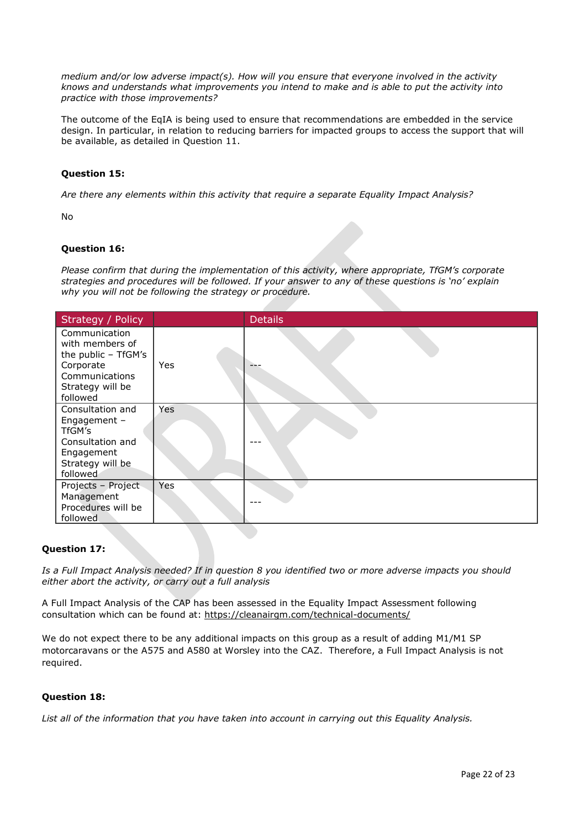*medium and/or low adverse impact(s). How will you ensure that everyone involved in the activity knows and understands what improvements you intend to make and is able to put the activity into practice with those improvements?*

The outcome of the EqIA is being used to ensure that recommendations are embedded in the service design. In particular, in relation to reducing barriers for impacted groups to access the support that will be available, as detailed in Question 11.

### **Question 15:**

*Are there any elements within this activity that require a separate Equality Impact Analysis?*

 $N<sub>0</sub>$ 

### **Question 16:**

*Please confirm that during the implementation of this activity, where appropriate, TfGM's corporate strategies and procedures will be followed. If your answer to any of these questions is 'no' explain why you will not be following the strategy or procedure.*

| Strategy / Policy                                                                                                      |     | <b>Details</b> |
|------------------------------------------------------------------------------------------------------------------------|-----|----------------|
| Communication<br>with members of<br>the public - TfGM's<br>Corporate<br>Communications<br>Strategy will be<br>followed | Yes |                |
| Consultation and<br>Engagement $-$<br>TfGM's<br>Consultation and<br>Engagement<br>Strategy will be<br>followed         | Yes | ---            |
| Projects - Project<br>Management<br>Procedures will be<br>followed                                                     | Yes |                |

#### **Question 17:**

*Is a Full Impact Analysis needed? If in question 8 you identified two or more adverse impacts you should either abort the activity, or carry out a full analysis*

A Full Impact Analysis of the CAP has been assessed in the Equality Impact Assessment following consultation which can be found at: [https://cleanairgm.com/technical-documents/](https://secure-web.cisco.com/11eiBCgElauzNx9ZLncgJx3iOubmp4VtcvvkdlhxY65RKvTbIb59-L2ncr8SElltrd2x-6LbEl4KMsTTxIe3wkMOtRdF_mwDnnUw_pzGQZOwSRIhPJyQIZ8Yp6BpEAcNSn8Ts-zUMkCwwKuuZ6JqlhO90pJazjetwe6gKhLVIM_BswP0PQmXUeuqGyGpWdmieI8qM86OywsW2Ih1TXBkADjvPWBAW0J67oLJLyOi-5a-P-uw5qxFWy4jV1Rgj27aX74mWEA8RmcCJF_QiJniWV9Y7vnNRmfIdielNKILyTnV3ChPut5AXlpom2ThMoaDynN4YcMw9M5bXrEI6WdmDFg/https%3A%2F%2Furl4.mailanyone.net%2Fv1%2F%3Fm%3D1lqaQa-0007kg-3t%26i%3D57e1b682%26c%3Dwx7pouswT3bJs4LPeETsz86q7Q_0OC56XXhe7DlJDibGRSGR8fdmSomeuSdI7C2Fa0eQbaAqoLXhP95flvC3e_rUhnBjBiD8llf9LaF4ZtCjfFRgnR8YVM3huSJaCGnICk94fttlvHc5puWw5cDJWXKncROEJUpzHqnxCBOtlS83l3-sjgML-pIcbUhAQZELxzuJu6c3812_3lnwQAbyYwgocO5Fara8d5TyMQqiWW6tNZcZXXghiSlVoISAGQRmsZ-TU8nVqIdM3Z7LyV0OBSLL4yenFqLa1SDyZM36c6L9Rv_9RwvC_zO8-ja9EEmp3RuaxQ4iKqu8pID_qRBxLRB9hKR0Yp8TjK3AxZQfI6W6JX6ff_FKZIssUgNuX4h8fgWjXtS31MSzgcKKD5htCOS8RNiJG7hqFaezCADs1zqfd5YI5KwtXyQV8Xcw9c04dqUU3rtH6b_zGkplrYZzi_tw5Uh0gVH_yDQ0aze-YmaYOmPe-7DcIOn3tcJzyPAzyNqQZKCfP-i1oh349NtnaY_1gjK4qs0hRBa9R9D0kEGpaGRFokA16JTCjrnHuvRgs7DcM7Fi3nDdrs6xiFxYb34O5EIVstmWMeA67C4pmsqoQ4hX3-rUnQd3vI35GAzQJzJxEsp-QxLb4UU4coOA_r80VNAaur_GF4G4X8lvmN0gEZ3Wu5QzUhFNsj4TCOgSucH17LnJrJVLTZfksCAbTQ)

We do not expect there to be any additional impacts on this group as a result of adding M1/M1 SP motorcaravans or the A575 and A580 at Worsley into the CAZ. Therefore, a Full Impact Analysis is not required.

## **Question 18:**

*List all of the information that you have taken into account in carrying out this Equality Analysis.*